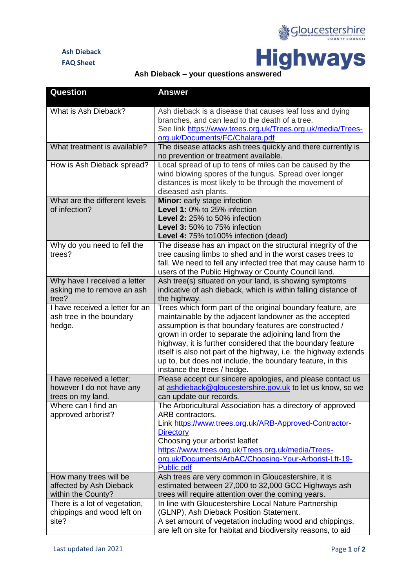## **Ash Dieback FAQ Sheet**





| Question                                                                    | <b>Answer</b>                                                                                                                                                                                                                                                                                                                                                                                                                                                             |
|-----------------------------------------------------------------------------|---------------------------------------------------------------------------------------------------------------------------------------------------------------------------------------------------------------------------------------------------------------------------------------------------------------------------------------------------------------------------------------------------------------------------------------------------------------------------|
| What is Ash Dieback?                                                        | Ash dieback is a disease that causes leaf loss and dying<br>branches, and can lead to the death of a tree.<br>See link https://www.trees.org.uk/Trees.org.uk/media/Trees-<br>org.uk/Documents/FC/Chalara.pdf                                                                                                                                                                                                                                                              |
| What treatment is available?                                                | The disease attacks ash trees quickly and there currently is<br>no prevention or treatment available.                                                                                                                                                                                                                                                                                                                                                                     |
| How is Ash Dieback spread?                                                  | Local spread of up to tens of miles can be caused by the<br>wind blowing spores of the fungus. Spread over longer<br>distances is most likely to be through the movement of<br>diseased ash plants.                                                                                                                                                                                                                                                                       |
| What are the different levels<br>of infection?                              | Minor: early stage infection<br>Level 1: 0% to 25% infection<br>Level 2: 25% to 50% infection<br>Level 3: 50% to 75% infection<br>Level 4: 75% to100% infection (dead)                                                                                                                                                                                                                                                                                                    |
| Why do you need to fell the<br>trees?                                       | The disease has an impact on the structural integrity of the<br>tree causing limbs to shed and in the worst cases trees to<br>fall. We need to fell any infected tree that may cause harm to<br>users of the Public Highway or County Council land.                                                                                                                                                                                                                       |
| Why have I received a letter<br>asking me to remove an ash<br>tree?         | Ash tree(s) situated on your land, is showing symptoms<br>indicative of ash dieback, which is within falling distance of<br>the highway.                                                                                                                                                                                                                                                                                                                                  |
| I have received a letter for an<br>ash tree in the boundary<br>hedge.       | Trees which form part of the original boundary feature, are<br>maintainable by the adjacent landowner as the accepted<br>assumption is that boundary features are constructed /<br>grown in order to separate the adjoining land from the<br>highway, it is further considered that the boundary feature<br>itself is also not part of the highway, i.e. the highway extends<br>up to, but does not include, the boundary feature, in this<br>instance the trees / hedge. |
| I have received a letter;<br>however I do not have any<br>trees on my land. | Please accept our sincere apologies, and please contact us<br>at ashdieback@gloucestershire.gov.uk to let us know, so we<br>can update our records.                                                                                                                                                                                                                                                                                                                       |
| Where can I find an<br>approved arborist?                                   | The Arboricultural Association has a directory of approved<br>ARB contractors.<br>Link https://www.trees.org.uk/ARB-Approved-Contractor-<br><b>Directory</b><br>Choosing your arborist leaflet<br>https://www.trees.org.uk/Trees.org.uk/media/Trees-<br>org.uk/Documents/ArbAC/Choosing-Your-Arborist-Lft-19-<br>Public.pdf                                                                                                                                               |
| How many trees will be<br>affected by Ash Dieback<br>within the County?     | Ash trees are very common in Gloucestershire, it is<br>estimated between 27,000 to 32,000 GCC Highways ash<br>trees will require attention over the coming years.                                                                                                                                                                                                                                                                                                         |
| There is a lot of vegetation,<br>chippings and wood left on<br>site?        | In line with Gloucestershire Local Nature Partnership<br>(GLNP), Ash Dieback Position Statement.<br>A set amount of vegetation including wood and chippings,<br>are left on site for habitat and biodiversity reasons, to aid                                                                                                                                                                                                                                             |